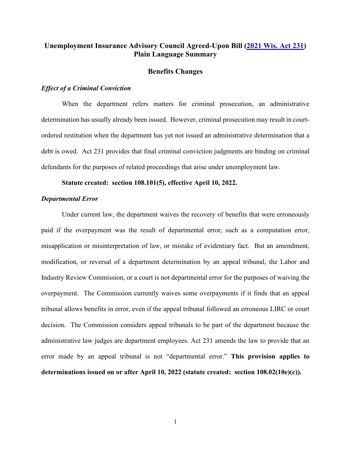# **Unemployment Insurance Advisory Council Agreed-Upon Bill [\(2021 Wis. Act 231\)](https://docs.legis.wisconsin.gov/2021/related/acts/231) Plain Language Summary**

### **Benefits Changes**

## *Effect of a Criminal Conviction*

When the department refers matters for criminal prosecution, an administrative determination has usually already been issued. However, criminal prosecution may result in courtordered restitution when the department has yet not issued an administrative determination that a debt is owed. Act 231 provides that final criminal conviction judgments are binding on criminal defendants for the purposes of related proceedings that arise under unemployment law.

## **Statute created: section 108.101(5), effective April 10, 2022.**

#### *Departmental Error*

Under current law, the department waives the recovery of benefits that were erroneously paid if the overpayment was the result of departmental error, such as a computation error, misapplication or misinterpretation of law, or mistake of evidentiary fact. But an amendment, modification, or reversal of a department determination by an appeal tribunal, the Labor and Industry Review Commission, or a court is not departmental error for the purposes of waiving the overpayment. The Commission currently waives some overpayments if it finds that an appeal tribunal allows benefits in error, even if the appeal tribunal followed an erroneous LIRC or court decision. The Commission considers appeal tribunals to be part of the department because the administrative law judges are department employees. Act 231 amends the law to provide that an error made by an appeal tribunal is not "departmental error." **This provision applies to determinations issued on or after April 10, 2022 (statute created: section 108.02(10e)(c)).**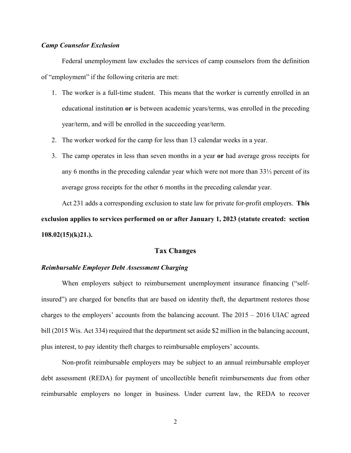## *Camp Counselor Exclusion*

Federal unemployment law excludes the services of camp counselors from the definition of "employment" if the following criteria are met:

- 1. The worker is a full-time student. This means that the worker is currently enrolled in an educational institution **or** is between academic years/terms, was enrolled in the preceding year/term, and will be enrolled in the succeeding year/term.
- 2. The worker worked for the camp for less than 13 calendar weeks in a year.
- 3. The camp operates in less than seven months in a year **or** had average gross receipts for any 6 months in the preceding calendar year which were not more than 33⅓ percent of its average gross receipts for the other 6 months in the preceding calendar year.

Act 231 adds a corresponding exclusion to state law for private for-profit employers. **This exclusion applies to services performed on or after January 1, 2023 (statute created: section 108.02(15)(k)21.).**

# **Tax Changes**

# *Reimbursable Employer Debt Assessment Charging*

When employers subject to reimbursement unemployment insurance financing ("selfinsured") are charged for benefits that are based on identity theft, the department restores those charges to the employers' accounts from the balancing account. The 2015 – 2016 UIAC agreed bill (2015 Wis. Act 334) required that the department set aside \$2 million in the balancing account, plus interest, to pay identity theft charges to reimbursable employers' accounts.

Non-profit reimbursable employers may be subject to an annual reimbursable employer debt assessment (REDA) for payment of uncollectible benefit reimbursements due from other reimbursable employers no longer in business. Under current law, the REDA to recover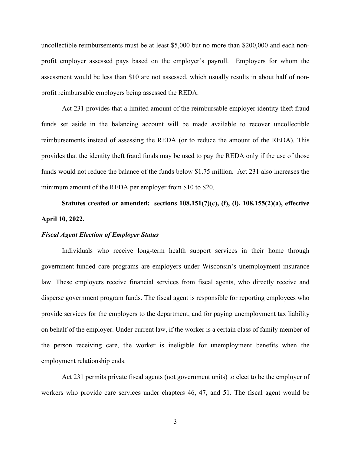uncollectible reimbursements must be at least \$5,000 but no more than \$200,000 and each nonprofit employer assessed pays based on the employer's payroll. Employers for whom the assessment would be less than \$10 are not assessed, which usually results in about half of nonprofit reimbursable employers being assessed the REDA.

Act 231 provides that a limited amount of the reimbursable employer identity theft fraud funds set aside in the balancing account will be made available to recover uncollectible reimbursements instead of assessing the REDA (or to reduce the amount of the REDA). This provides that the identity theft fraud funds may be used to pay the REDA only if the use of those funds would not reduce the balance of the funds below \$1.75 million. Act 231 also increases the minimum amount of the REDA per employer from \$10 to \$20.

**Statutes created or amended: sections 108.151(7)(c), (f), (i), 108.155(2)(a), effective April 10, 2022.**

## *Fiscal Agent Election of Employer Status*

Individuals who receive long-term health support services in their home through government-funded care programs are employers under Wisconsin's unemployment insurance law. These employers receive financial services from fiscal agents, who directly receive and disperse government program funds. The fiscal agent is responsible for reporting employees who provide services for the employers to the department, and for paying unemployment tax liability on behalf of the employer. Under current law, if the worker is a certain class of family member of the person receiving care, the worker is ineligible for unemployment benefits when the employment relationship ends.

Act 231 permits private fiscal agents (not government units) to elect to be the employer of workers who provide care services under chapters 46, 47, and 51. The fiscal agent would be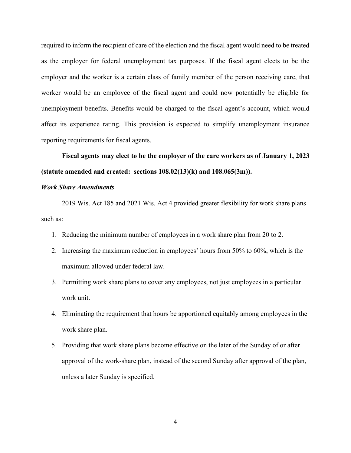required to inform the recipient of care of the election and the fiscal agent would need to be treated as the employer for federal unemployment tax purposes. If the fiscal agent elects to be the employer and the worker is a certain class of family member of the person receiving care, that worker would be an employee of the fiscal agent and could now potentially be eligible for unemployment benefits. Benefits would be charged to the fiscal agent's account, which would affect its experience rating. This provision is expected to simplify unemployment insurance reporting requirements for fiscal agents.

**Fiscal agents may elect to be the employer of the care workers as of January 1, 2023 (statute amended and created: sections 108.02(13)(k) and 108.065(3m)).**

# *Work Share Amendments*

2019 Wis. Act 185 and 2021 Wis. Act 4 provided greater flexibility for work share plans such as:

- 1. Reducing the minimum number of employees in a work share plan from 20 to 2.
- 2. Increasing the maximum reduction in employees' hours from 50% to 60%, which is the maximum allowed under federal law.
- 3. Permitting work share plans to cover any employees, not just employees in a particular work unit.
- 4. Eliminating the requirement that hours be apportioned equitably among employees in the work share plan.
- 5. Providing that work share plans become effective on the later of the Sunday of or after approval of the work-share plan, instead of the second Sunday after approval of the plan, unless a later Sunday is specified.